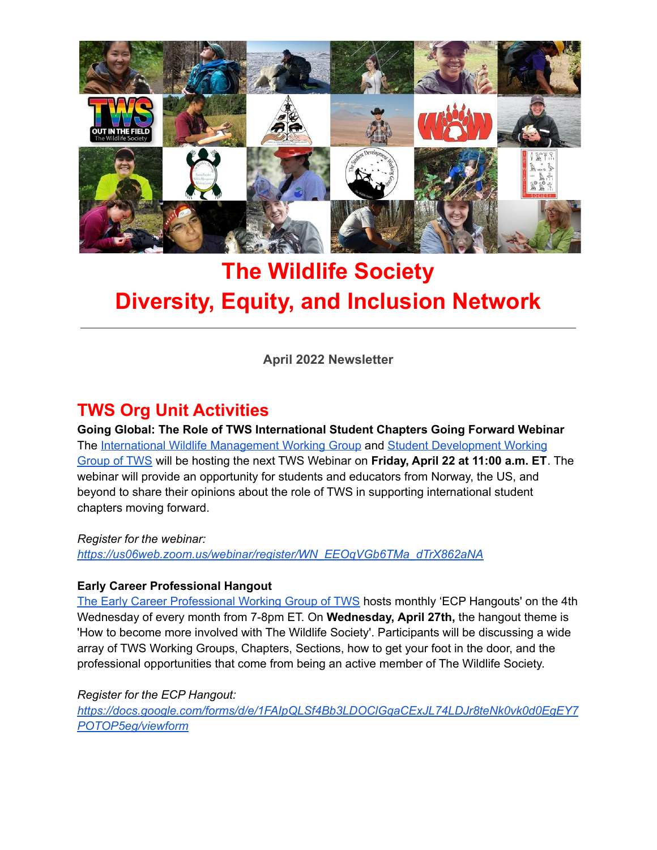

# **The Wildlife Society Diversity, Equity, and Inclusion Network**

**April 2022 Newsletter**

# **TWS Org Unit Activities**

**Going Global: The Role of TWS International Student Chapters Going Forward Webinar** The International Wildlife [Management](https://wildlife.org/iwmwg/) Working Group and Student [Development](https://wildlife.org/sdwg/) Working [Group](https://wildlife.org/sdwg/) of TWS will be hosting the next TWS Webinar on **Friday, April 22 at 11:00 a.m. ET**. The webinar will provide an opportunity for students and educators from Norway, the US, and beyond to share their opinions about the role of TWS in supporting international student chapters moving forward.

*Register for the webinar:*

*[https://us06web.zoom.us/webinar/register/WN\\_EEOqVGb6TMa\\_dTrX862aNA](https://us06web.zoom.us/webinar/register/WN_EEOqVGb6TMa_dTrX862aNA)*

### **Early Career Professional Hangout**

The Early Career [Professional](https://wildlife.org/ecpwg/) Working Group of TWS hosts monthly 'ECP Hangouts' on the 4th Wednesday of every month from 7-8pm ET. On **Wednesday, April 27th,** the hangout theme is 'How to become more involved with The Wildlife Society'. Participants will be discussing a wide array of TWS Working Groups, Chapters, Sections, how to get your foot in the door, and the professional opportunities that come from being an active member of The Wildlife Society.

*Register for the ECP Hangout:*

*[https://docs.google.com/forms/d/e/1FAIpQLSf4Bb3LDOClGqaCExJL74LDJr8teNk0vk0d0EgEY7](https://docs.google.com/forms/d/e/1FAIpQLSf4Bb3LDOClGqaCExJL74LDJr8teNk0vk0d0EgEY7POTOP5eg/viewform) [POTOP5eg/viewform](https://docs.google.com/forms/d/e/1FAIpQLSf4Bb3LDOClGqaCExJL74LDJr8teNk0vk0d0EgEY7POTOP5eg/viewform)*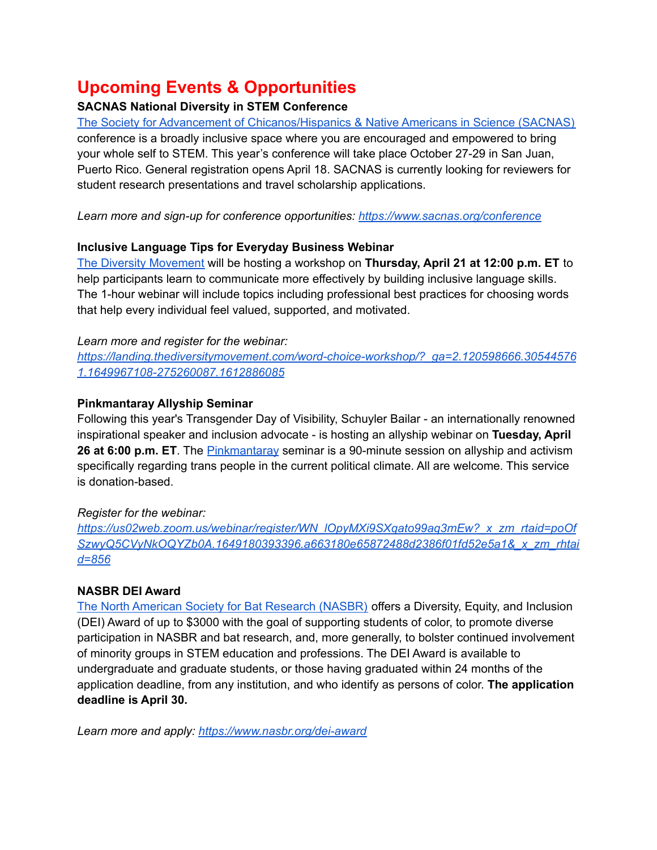# **Upcoming Events & Opportunities**

### **SACNAS National Diversity in STEM Conference**

The Society for Advancement of [Chicanos/Hispanics](https://www.sacnas.org/) & Native Americans in Science (SACNAS) conference is a broadly inclusive space where you are encouraged and empowered to bring your whole self to STEM. This year's conference will take place October 27-29 in San Juan, Puerto Rico. General registration opens April 18. SACNAS is currently looking for reviewers for student research presentations and travel scholarship applications.

*Learn more and sign-up for conference opportunities: <https://www.sacnas.org/conference>*

### **Inclusive Language Tips for Everyday Business Webinar**

The Diversity [Movement](https://thediversitymovement.com/) will be hosting a workshop on **Thursday, April 21 at 12:00 p.m. ET** to help participants learn to communicate more effectively by building inclusive language skills. The 1-hour webinar will include topics including professional best practices for choosing words that help every individual feel valued, supported, and motivated.

### *Learn more and register for the webinar:*

*[https://landing.thediversitymovement.com/word-choice-workshop/?\\_ga=2.120598666.30544576](https://landing.thediversitymovement.com/word-choice-workshop/?_ga=2.120598666.305445761.1649967108-275260087.1612886085) [1.1649967108-275260087.1612886085](https://landing.thediversitymovement.com/word-choice-workshop/?_ga=2.120598666.305445761.1649967108-275260087.1612886085)*

### **Pinkmantaray Allyship Seminar**

Following this year's Transgender Day of Visibility, Schuyler Bailar - an internationally renowned inspirational speaker and inclusion advocate - is hosting an allyship webinar on **Tuesday, April 26 at 6:00 p.m. ET**. The [Pinkmantaray](https://pinkmantaray.com/) seminar is a 90-minute session on allyship and activism specifically regarding trans people in the current political climate. All are welcome. This service is donation-based.

### *Register for the webinar:*

*[https://us02web.zoom.us/webinar/register/WN\\_lOpyMXi9SXqato99aq3mEw?\\_x\\_zm\\_rtaid=poOf](https://us02web.zoom.us/webinar/register/WN_lOpyMXi9SXqato99aq3mEw?_x_zm_rtaid=poOfSzwyQ5CVyNkOQYZb0A.1649180393396.a663180e65872488d2386f01fd52e5a1&_x_zm_rhtaid=856) [SzwyQ5CVyNkOQYZb0A.1649180393396.a663180e65872488d2386f01fd52e5a1&\\_x\\_zm\\_rhtai](https://us02web.zoom.us/webinar/register/WN_lOpyMXi9SXqato99aq3mEw?_x_zm_rtaid=poOfSzwyQ5CVyNkOQYZb0A.1649180393396.a663180e65872488d2386f01fd52e5a1&_x_zm_rhtaid=856) [d=856](https://us02web.zoom.us/webinar/register/WN_lOpyMXi9SXqato99aq3mEw?_x_zm_rtaid=poOfSzwyQ5CVyNkOQYZb0A.1649180393396.a663180e65872488d2386f01fd52e5a1&_x_zm_rhtaid=856)*

### **NASBR DEI Award**

The North American Society for Bat [Research](https://www.nasbr.org/) (NASBR) offers a Diversity, Equity, and Inclusion (DEI) Award of up to \$3000 with the goal of supporting students of color, to promote diverse participation in NASBR and bat research, and, more generally, to bolster continued involvement of minority groups in STEM education and professions. The DEI Award is available to undergraduate and graduate students, or those having graduated within 24 months of the application deadline, from any institution, and who identify as persons of color. **The application deadline is April 30.**

*Learn more and apply: <https://www.nasbr.org/dei-award>*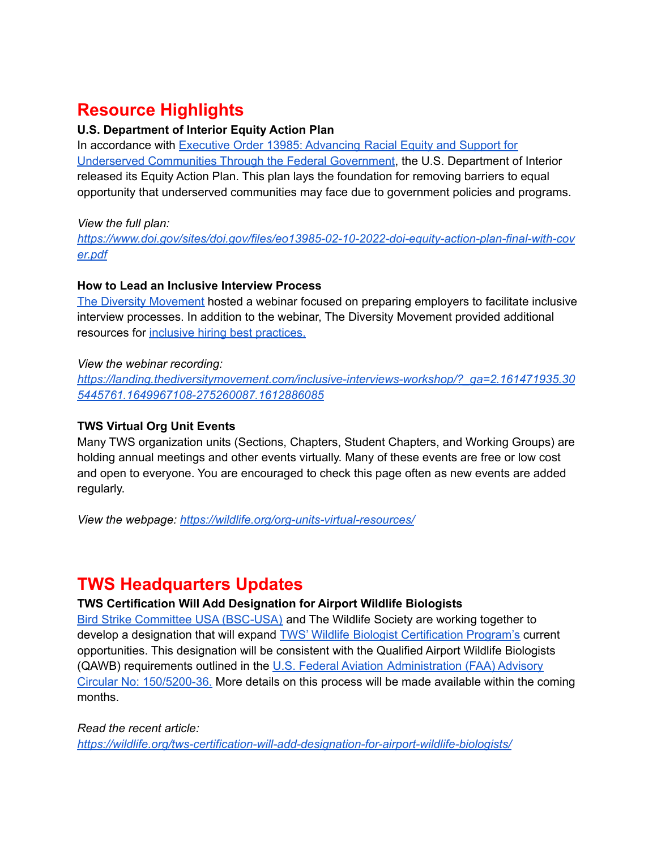# **Resource Highlights**

#### **U.S. Department of Interior Equity Action Plan**

In accordance with Executive Order 13985: [Advancing](https://gcc02.safelinks.protection.outlook.com/?url=https%3A%2F%2Fwww.federalregister.gov%2Fdocuments%2F2021%2F01%2F25%2F2021-01753%2Fadvancing-racial-equity-and-support-for-underserved-communities-through-the-federal-government&data=04%7C01%7CDEIA%40ios.doi.gov%7Cf2db49d9b5e24a6d518608d9b8e6f57e%7C0693b5ba4b184d7b9341f32f400a5494%7C0%7C0%7C637744124360758317%7CUnknown%7CTWFpbGZsb3d8eyJWIjoiMC4wLjAwMDAiLCJQIjoiV2luMzIiLCJBTiI6Ik1haWwiLCJXVCI6Mn0%3D%7C3000&sdata=gbDNALnTYeOut%2F3cLRncPAebGuL%2FaoDcKLtxdRHzX2c%3D&reserved=0) Racial Equity and Support for Underserved [Communities](https://gcc02.safelinks.protection.outlook.com/?url=https%3A%2F%2Fwww.federalregister.gov%2Fdocuments%2F2021%2F01%2F25%2F2021-01753%2Fadvancing-racial-equity-and-support-for-underserved-communities-through-the-federal-government&data=04%7C01%7CDEIA%40ios.doi.gov%7Cf2db49d9b5e24a6d518608d9b8e6f57e%7C0693b5ba4b184d7b9341f32f400a5494%7C0%7C0%7C637744124360758317%7CUnknown%7CTWFpbGZsb3d8eyJWIjoiMC4wLjAwMDAiLCJQIjoiV2luMzIiLCJBTiI6Ik1haWwiLCJXVCI6Mn0%3D%7C3000&sdata=gbDNALnTYeOut%2F3cLRncPAebGuL%2FaoDcKLtxdRHzX2c%3D&reserved=0) Through the Federal Government, the U.S. Department of Interior released its Equity Action Plan. This plan lays the foundation for removing barriers to equal opportunity that underserved communities may face due to government policies and programs.

*View the full plan:*

*[https://www.doi.gov/sites/doi.gov/files/eo13985-02-10-2022-doi-equity-action-plan-final-with-cov](https://www.doi.gov/sites/doi.gov/files/eo13985-02-10-2022-doi-equity-action-plan-final-with-cover.pdf) [er.pdf](https://www.doi.gov/sites/doi.gov/files/eo13985-02-10-2022-doi-equity-action-plan-final-with-cover.pdf)*

### **How to Lead an Inclusive Interview Process**

The Diversity [Movement](https://thediversitymovement.com/) hosted a webinar focused on preparing employers to facilitate inclusive interview processes. In addition to the webinar, The Diversity Movement provided additional resources for inclusive hiring best [practices.](https://thediversitymovement.us4.list-manage.com/track/click?u=870a2aa432c5ea09f73d33bbc&id=4713c324ea&e=d31fd6ef46)

### *View the webinar recording:*

*[https://landing.thediversitymovement.com/inclusive-interviews-workshop/?\\_ga=2.161471935.30](https://landing.thediversitymovement.com/inclusive-interviews-workshop/?_ga=2.161471935.305445761.1649967108-275260087.1612886085) [5445761.1649967108-275260087.1612886085](https://landing.thediversitymovement.com/inclusive-interviews-workshop/?_ga=2.161471935.305445761.1649967108-275260087.1612886085)*

### **TWS Virtual Org Unit Events**

Many TWS organization units (Sections, Chapters, Student Chapters, and Working Groups) are holding annual meetings and other events virtually. Many of these events are free or low cost and open to everyone. You are encouraged to check this page often as new events are added regularly.

*View the webpage: <https://wildlife.org/org-units-virtual-resources/>*

## **TWS Headquarters Updates**

### **TWS Certification Will Add Designation for Airport Wildlife Biologists**

Bird Strike Committee USA [\(BSC-USA\)](http://www.birdstrike.org/) and The Wildlife Society are working together to develop a designation that will expand TWS' Wildlife Biologist [Certification](https://wildlife.org/learn/professional-development-certification/certification-programs/) Program's current opportunities. This designation will be consistent with the Qualified Airport Wildlife Biologists (QAWB) requirements outlined in the U.S. Federal Aviation [Administration](https://www.faa.gov/airports/resources/advisory_circulars/index.cfm/go/document.current/documentNumber/150_5200-36#:~:text=Share-,150%2F5200%2D36B%20%2D%20Qualifications%20for%20Wildlife%20Biologist%20Conducting%20Wildlife,Controlling%20Wildlife%20Hazards%20on%20Airports) (FAA) Advisory Circular No: [150/5200-36.](https://www.faa.gov/airports/resources/advisory_circulars/index.cfm/go/document.current/documentNumber/150_5200-36#:~:text=Share-,150%2F5200%2D36B%20%2D%20Qualifications%20for%20Wildlife%20Biologist%20Conducting%20Wildlife,Controlling%20Wildlife%20Hazards%20on%20Airports) More details on this process will be made available within the coming months.

*Read the recent article: <https://wildlife.org/tws-certification-will-add-designation-for-airport-wildlife-biologists/>*